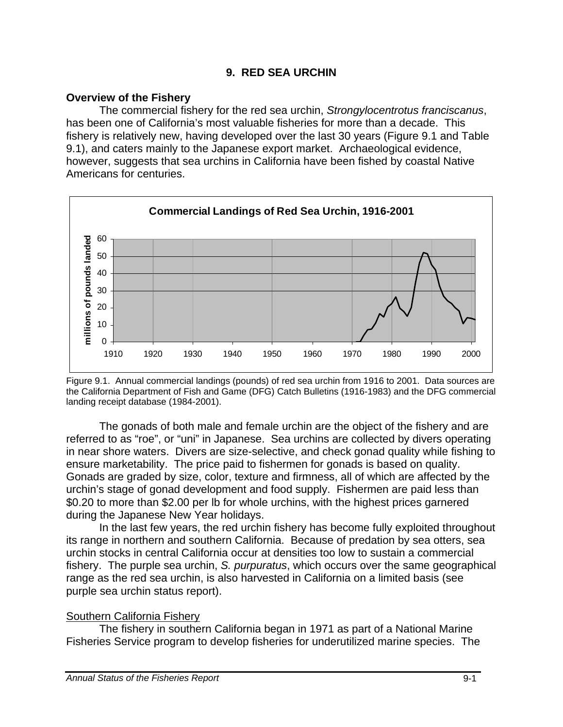## **9. RED SEA URCHIN**

## **Overview of the Fishery**

 The commercial fishery for the red sea urchin, *Strongylocentrotus franciscanus*, has been one of California's most valuable fisheries for more than a decade. This fishery is relatively new, having developed over the last 30 years (Figure 9.1 and Table 9.1), and caters mainly to the Japanese export market. Archaeological evidence, however, suggests that sea urchins in California have been fished by coastal Native Americans for centuries.



Figure 9.1. Annual commercial landings (pounds) of red sea urchin from 1916 to 2001. Data sources are the California Department of Fish and Game (DFG) Catch Bulletins (1916-1983) and the DFG commercial landing receipt database (1984-2001).

The gonads of both male and female urchin are the object of the fishery and are referred to as "roe", or "uni" in Japanese. Sea urchins are collected by divers operating in near shore waters. Divers are size-selective, and check gonad quality while fishing to ensure marketability. The price paid to fishermen for gonads is based on quality. Gonads are graded by size, color, texture and firmness, all of which are affected by the urchin's stage of gonad development and food supply. Fishermen are paid less than \$0.20 to more than \$2.00 per lb for whole urchins, with the highest prices garnered during the Japanese New Year holidays.

In the last few years, the red urchin fishery has become fully exploited throughout its range in northern and southern California. Because of predation by sea otters, sea urchin stocks in central California occur at densities too low to sustain a commercial fishery. The purple sea urchin, *S. purpuratus*, which occurs over the same geographical range as the red sea urchin, is also harvested in California on a limited basis (see purple sea urchin status report).

# Southern California Fishery

 The fishery in southern California began in 1971 as part of a National Marine Fisheries Service program to develop fisheries for underutilized marine species. The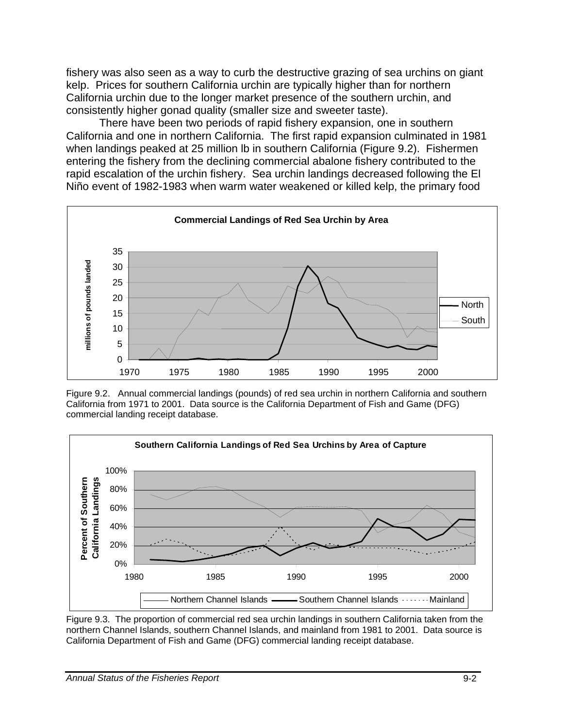fishery was also seen as a way to curb the destructive grazing of sea urchins on giant kelp. Prices for southern California urchin are typically higher than for northern California urchin due to the longer market presence of the southern urchin, and consistently higher gonad quality (smaller size and sweeter taste).

There have been two periods of rapid fishery expansion, one in southern California and one in northern California. The first rapid expansion culminated in 1981 when landings peaked at 25 million lb in southern California (Figure 9.2). Fishermen entering the fishery from the declining commercial abalone fishery contributed to the rapid escalation of the urchin fishery. Sea urchin landings decreased following the El Niño event of 1982-1983 when warm water weakened or killed kelp, the primary food



Figure 9.2. Annual commercial landings (pounds) of red sea urchin in northern California and southern California from 1971 to 2001. Data source is the California Department of Fish and Game (DFG) commercial landing receipt database.



Figure 9.3. The proportion of commercial red sea urchin landings in southern California taken from the northern Channel Islands, southern Channel Islands, and mainland from 1981 to 2001. Data source is California Department of Fish and Game (DFG) commercial landing receipt database.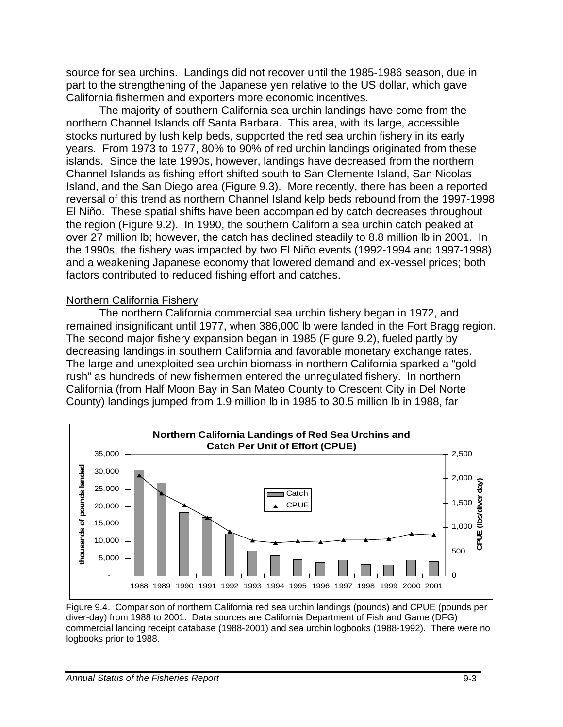source for sea urchins. Landings did not recover until the 1985-1986 season, due in part to the strengthening of the Japanese yen relative to the US dollar, which gave California fishermen and exporters more economic incentives.

The majority of southern California sea urchin landings have come from the northern Channel Islands off Santa Barbara. This area, with its large, accessible stocks nurtured by lush kelp beds, supported the red sea urchin fishery in its early years. From 1973 to 1977, 80% to 90% of red urchin landings originated from these islands. Since the late 1990s, however, landings have decreased from the northern Channel Islands as fishing effort shifted south to San Clemente Island, San Nicolas Island, and the San Diego area (Figure 9.3). More recently, there has been a reported reversal of this trend as northern Channel Island kelp beds rebound from the 1997-1998 El Niño. These spatial shifts have been accompanied by catch decreases throughout the region (Figure 9.2). In 1990, the southern California sea urchin catch peaked at over 27 million lb; however, the catch has declined steadily to 8.8 million lb in 2001. In the 1990s, the fishery was impacted by two El Niño events (1992-1994 and 1997-1998) and a weakening Japanese economy that lowered demand and ex-vessel prices; both factors contributed to reduced fishing effort and catches.

#### Northern California Fishery

 The northern California commercial sea urchin fishery began in 1972, and remained insignificant until 1977, when 386,000 lb were landed in the Fort Bragg region. The second major fishery expansion began in 1985 (Figure 9.2), fueled partly by decreasing landings in southern California and favorable monetary exchange rates. The large and unexploited sea urchin biomass in northern California sparked a "gold rush" as hundreds of new fishermen entered the unregulated fishery. In northern California (from Half Moon Bay in San Mateo County to Crescent City in Del Norte County) landings jumped from 1.9 million lb in 1985 to 30.5 million lb in 1988, far



Figure 9.4. Comparison of northern California red sea urchin landings (pounds) and CPUE (pounds per diver-day) from 1988 to 2001. Data sources are California Department of Fish and Game (DFG) commercial landing receipt database (1988-2001) and sea urchin logbooks (1988-1992). There were no logbooks prior to 1988.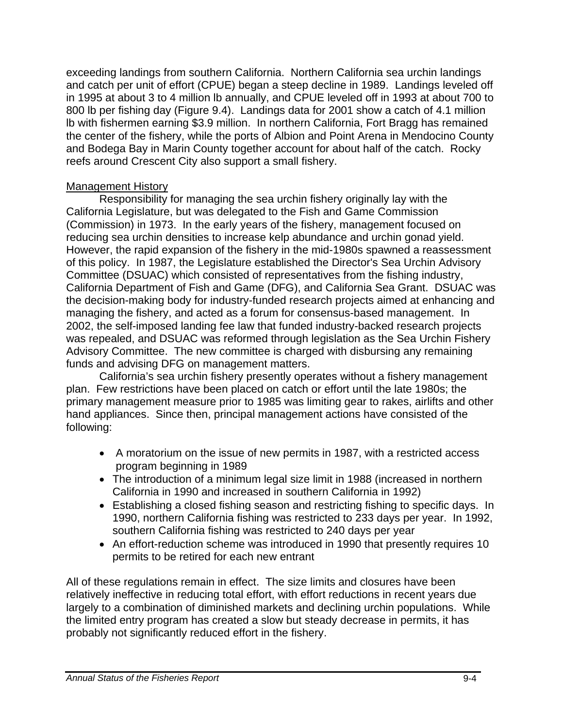exceeding landings from southern California. Northern California sea urchin landings and catch per unit of effort (CPUE) began a steep decline in 1989. Landings leveled off in 1995 at about 3 to 4 million lb annually, and CPUE leveled off in 1993 at about 700 to 800 lb per fishing day (Figure 9.4). Landings data for 2001 show a catch of 4.1 million lb with fishermen earning \$3.9 million. In northern California, Fort Bragg has remained the center of the fishery, while the ports of Albion and Point Arena in Mendocino County and Bodega Bay in Marin County together account for about half of the catch. Rocky reefs around Crescent City also support a small fishery.

## Management History

Responsibility for managing the sea urchin fishery originally lay with the California Legislature, but was delegated to the Fish and Game Commission (Commission) in 1973. In the early years of the fishery, management focused on reducing sea urchin densities to increase kelp abundance and urchin gonad yield. However, the rapid expansion of the fishery in the mid-1980s spawned a reassessment of this policy. In 1987, the Legislature established the Director's Sea Urchin Advisory Committee (DSUAC) which consisted of representatives from the fishing industry, California Department of Fish and Game (DFG), and California Sea Grant. DSUAC was the decision-making body for industry-funded research projects aimed at enhancing and managing the fishery, and acted as a forum for consensus-based management. In 2002, the self-imposed landing fee law that funded industry-backed research projects was repealed, and DSUAC was reformed through legislation as the Sea Urchin Fishery Advisory Committee. The new committee is charged with disbursing any remaining funds and advising DFG on management matters.

California's sea urchin fishery presently operates without a fishery management plan. Few restrictions have been placed on catch or effort until the late 1980s; the primary management measure prior to 1985 was limiting gear to rakes, airlifts and other hand appliances. Since then, principal management actions have consisted of the following:

- A moratorium on the issue of new permits in 1987, with a restricted access program beginning in 1989
- The introduction of a minimum legal size limit in 1988 (increased in northern California in 1990 and increased in southern California in 1992)
- Establishing a closed fishing season and restricting fishing to specific days. In 1990, northern California fishing was restricted to 233 days per year. In 1992, southern California fishing was restricted to 240 days per year
- An effort-reduction scheme was introduced in 1990 that presently requires 10 permits to be retired for each new entrant

All of these regulations remain in effect. The size limits and closures have been relatively ineffective in reducing total effort, with effort reductions in recent years due largely to a combination of diminished markets and declining urchin populations. While the limited entry program has created a slow but steady decrease in permits, it has probably not significantly reduced effort in the fishery.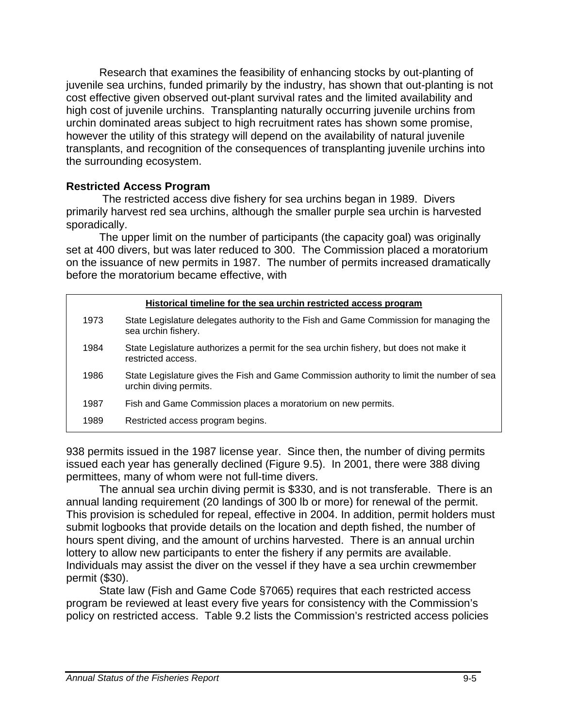Research that examines the feasibility of enhancing stocks by out-planting of juvenile sea urchins, funded primarily by the industry, has shown that out-planting is not cost effective given observed out-plant survival rates and the limited availability and high cost of juvenile urchins. Transplanting naturally occurring juvenile urchins from urchin dominated areas subject to high recruitment rates has shown some promise, however the utility of this strategy will depend on the availability of natural juvenile transplants, and recognition of the consequences of transplanting juvenile urchins into the surrounding ecosystem.

#### **Restricted Access Program**

 The restricted access dive fishery for sea urchins began in 1989. Divers primarily harvest red sea urchins, although the smaller purple sea urchin is harvested sporadically.

The upper limit on the number of participants (the capacity goal) was originally set at 400 divers, but was later reduced to 300. The Commission placed a moratorium on the issuance of new permits in 1987. The number of permits increased dramatically before the moratorium became effective, with

| Historical timeline for the sea urchin restricted access program |                                                                                                                     |  |  |  |  |
|------------------------------------------------------------------|---------------------------------------------------------------------------------------------------------------------|--|--|--|--|
| 1973                                                             | State Legislature delegates authority to the Fish and Game Commission for managing the<br>sea urchin fishery.       |  |  |  |  |
| 1984                                                             | State Legislature authorizes a permit for the sea urchin fishery, but does not make it<br>restricted access.        |  |  |  |  |
| 1986                                                             | State Legislature gives the Fish and Game Commission authority to limit the number of sea<br>urchin diving permits. |  |  |  |  |
| 1987                                                             | Fish and Game Commission places a moratorium on new permits.                                                        |  |  |  |  |
| 1989                                                             | Restricted access program begins.                                                                                   |  |  |  |  |

938 permits issued in the 1987 license year. Since then, the number of diving permits issued each year has generally declined (Figure 9.5). In 2001, there were 388 diving permittees, many of whom were not full-time divers.

 The annual sea urchin diving permit is \$330, and is not transferable. There is an annual landing requirement (20 landings of 300 lb or more) for renewal of the permit. This provision is scheduled for repeal, effective in 2004. In addition, permit holders must submit logbooks that provide details on the location and depth fished, the number of hours spent diving, and the amount of urchins harvested. There is an annual urchin lottery to allow new participants to enter the fishery if any permits are available. Individuals may assist the diver on the vessel if they have a sea urchin crewmember permit (\$30).

State law (Fish and Game Code §7065) requires that each restricted access program be reviewed at least every five years for consistency with the Commission's policy on restricted access. Table 9.2 lists the Commission's restricted access policies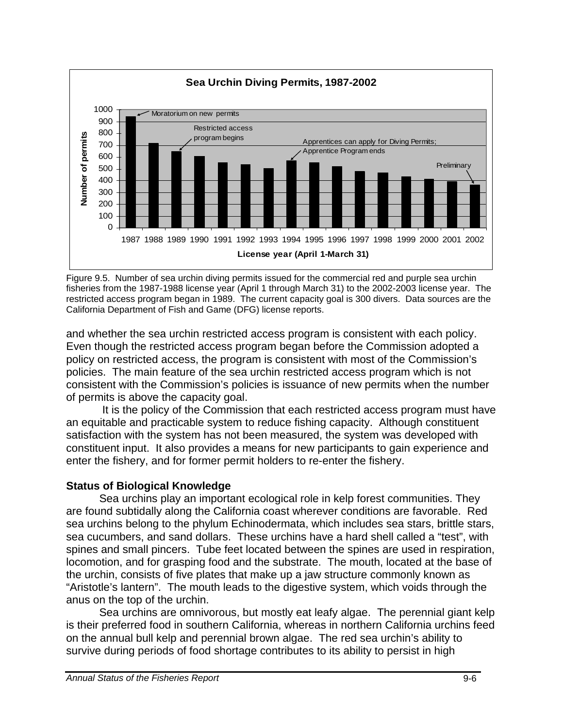

Figure 9.5. Number of sea urchin diving permits issued for the commercial red and purple sea urchin fisheries from the 1987-1988 license year (April 1 through March 31) to the 2002-2003 license year. The restricted access program began in 1989. The current capacity goal is 300 divers. Data sources are the California Department of Fish and Game (DFG) license reports.

and whether the sea urchin restricted access program is consistent with each policy. Even though the restricted access program began before the Commission adopted a policy on restricted access, the program is consistent with most of the Commission's policies. The main feature of the sea urchin restricted access program which is not consistent with the Commission's policies is issuance of new permits when the number of permits is above the capacity goal.

 It is the policy of the Commission that each restricted access program must have an equitable and practicable system to reduce fishing capacity. Although constituent satisfaction with the system has not been measured, the system was developed with constituent input. It also provides a means for new participants to gain experience and enter the fishery, and for former permit holders to re-enter the fishery.

## **Status of Biological Knowledge**

 Sea urchins play an important ecological role in kelp forest communities. They are found subtidally along the California coast wherever conditions are favorable. Red sea urchins belong to the phylum Echinodermata, which includes sea stars, brittle stars, sea cucumbers, and sand dollars. These urchins have a hard shell called a "test", with spines and small pincers. Tube feet located between the spines are used in respiration, locomotion, and for grasping food and the substrate. The mouth, located at the base of the urchin, consists of five plates that make up a jaw structure commonly known as "Aristotle's lantern". The mouth leads to the digestive system, which voids through the anus on the top of the urchin.

Sea urchins are omnivorous, but mostly eat leafy algae. The perennial giant kelp is their preferred food in southern California, whereas in northern California urchins feed on the annual bull kelp and perennial brown algae. The red sea urchin's ability to survive during periods of food shortage contributes to its ability to persist in high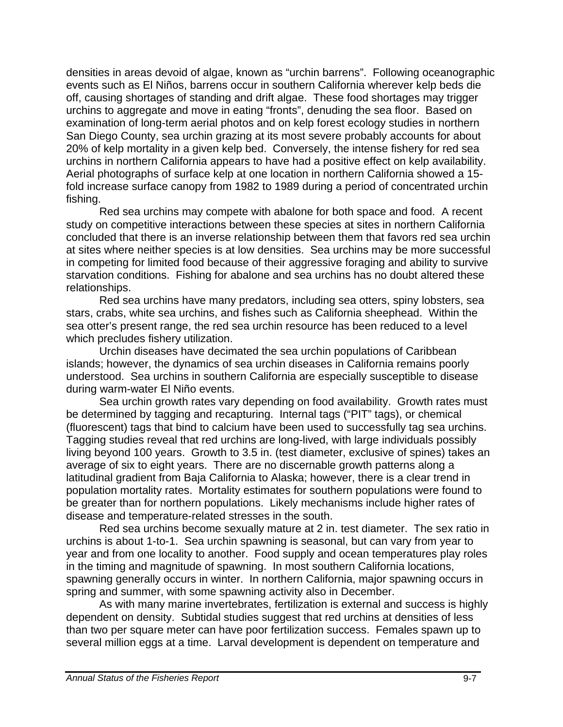densities in areas devoid of algae, known as "urchin barrens". Following oceanographic events such as El Niños, barrens occur in southern California wherever kelp beds die off, causing shortages of standing and drift algae. These food shortages may trigger urchins to aggregate and move in eating "fronts", denuding the sea floor. Based on examination of long-term aerial photos and on kelp forest ecology studies in northern San Diego County, sea urchin grazing at its most severe probably accounts for about 20% of kelp mortality in a given kelp bed. Conversely, the intense fishery for red sea urchins in northern California appears to have had a positive effect on kelp availability. Aerial photographs of surface kelp at one location in northern California showed a 15 fold increase surface canopy from 1982 to 1989 during a period of concentrated urchin fishing.

 Red sea urchins may compete with abalone for both space and food. A recent study on competitive interactions between these species at sites in northern California concluded that there is an inverse relationship between them that favors red sea urchin at sites where neither species is at low densities. Sea urchins may be more successful in competing for limited food because of their aggressive foraging and ability to survive starvation conditions. Fishing for abalone and sea urchins has no doubt altered these relationships.

 Red sea urchins have many predators, including sea otters, spiny lobsters, sea stars, crabs, white sea urchins, and fishes such as California sheephead. Within the sea otter's present range, the red sea urchin resource has been reduced to a level which precludes fishery utilization.

Urchin diseases have decimated the sea urchin populations of Caribbean islands; however, the dynamics of sea urchin diseases in California remains poorly understood. Sea urchins in southern California are especially susceptible to disease during warm-water El Niño events.

 Sea urchin growth rates vary depending on food availability. Growth rates must be determined by tagging and recapturing. Internal tags ("PIT" tags), or chemical (fluorescent) tags that bind to calcium have been used to successfully tag sea urchins. Tagging studies reveal that red urchins are long-lived, with large individuals possibly living beyond 100 years. Growth to 3.5 in. (test diameter, exclusive of spines) takes an average of six to eight years. There are no discernable growth patterns along a latitudinal gradient from Baja California to Alaska; however, there is a clear trend in population mortality rates. Mortality estimates for southern populations were found to be greater than for northern populations. Likely mechanisms include higher rates of disease and temperature-related stresses in the south.

 Red sea urchins become sexually mature at 2 in. test diameter. The sex ratio in urchins is about 1-to-1. Sea urchin spawning is seasonal, but can vary from year to year and from one locality to another. Food supply and ocean temperatures play roles in the timing and magnitude of spawning. In most southern California locations, spawning generally occurs in winter. In northern California, major spawning occurs in spring and summer, with some spawning activity also in December.

As with many marine invertebrates, fertilization is external and success is highly dependent on density. Subtidal studies suggest that red urchins at densities of less than two per square meter can have poor fertilization success. Females spawn up to several million eggs at a time. Larval development is dependent on temperature and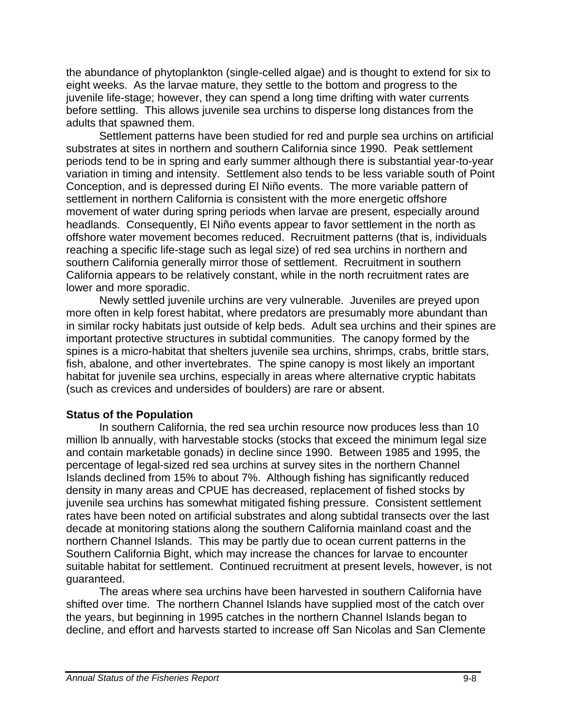the abundance of phytoplankton (single-celled algae) and is thought to extend for six to eight weeks. As the larvae mature, they settle to the bottom and progress to the juvenile life-stage; however, they can spend a long time drifting with water currents before settling. This allows juvenile sea urchins to disperse long distances from the adults that spawned them.

Settlement patterns have been studied for red and purple sea urchins on artificial substrates at sites in northern and southern California since 1990. Peak settlement periods tend to be in spring and early summer although there is substantial year-to-year variation in timing and intensity. Settlement also tends to be less variable south of Point Conception, and is depressed during El Niño events. The more variable pattern of settlement in northern California is consistent with the more energetic offshore movement of water during spring periods when larvae are present, especially around headlands. Consequently, El Niño events appear to favor settlement in the north as offshore water movement becomes reduced. Recruitment patterns (that is, individuals reaching a specific life-stage such as legal size) of red sea urchins in northern and southern California generally mirror those of settlement. Recruitment in southern California appears to be relatively constant, while in the north recruitment rates are lower and more sporadic.

Newly settled juvenile urchins are very vulnerable. Juveniles are preyed upon more often in kelp forest habitat, where predators are presumably more abundant than in similar rocky habitats just outside of kelp beds. Adult sea urchins and their spines are important protective structures in subtidal communities. The canopy formed by the spines is a micro-habitat that shelters juvenile sea urchins, shrimps, crabs, brittle stars, fish, abalone, and other invertebrates. The spine canopy is most likely an important habitat for juvenile sea urchins, especially in areas where alternative cryptic habitats (such as crevices and undersides of boulders) are rare or absent.

## **Status of the Population**

In southern California, the red sea urchin resource now produces less than 10 million lb annually, with harvestable stocks (stocks that exceed the minimum legal size and contain marketable gonads) in decline since 1990. Between 1985 and 1995, the percentage of legal-sized red sea urchins at survey sites in the northern Channel Islands declined from 15% to about 7%. Although fishing has significantly reduced density in many areas and CPUE has decreased, replacement of fished stocks by juvenile sea urchins has somewhat mitigated fishing pressure. Consistent settlement rates have been noted on artificial substrates and along subtidal transects over the last decade at monitoring stations along the southern California mainland coast and the northern Channel Islands. This may be partly due to ocean current patterns in the Southern California Bight, which may increase the chances for larvae to encounter suitable habitat for settlement. Continued recruitment at present levels, however, is not guaranteed.

The areas where sea urchins have been harvested in southern California have shifted over time. The northern Channel Islands have supplied most of the catch over the years, but beginning in 1995 catches in the northern Channel Islands began to decline, and effort and harvests started to increase off San Nicolas and San Clemente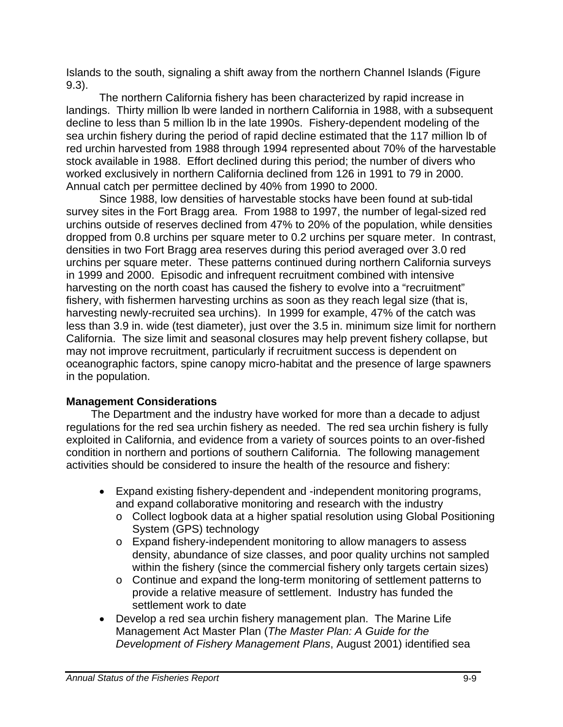Islands to the south, signaling a shift away from the northern Channel Islands (Figure 9.3).

 The northern California fishery has been characterized by rapid increase in landings. Thirty million lb were landed in northern California in 1988, with a subsequent decline to less than 5 million lb in the late 1990s. Fishery-dependent modeling of the sea urchin fishery during the period of rapid decline estimated that the 117 million lb of red urchin harvested from 1988 through 1994 represented about 70% of the harvestable stock available in 1988. Effort declined during this period; the number of divers who worked exclusively in northern California declined from 126 in 1991 to 79 in 2000. Annual catch per permittee declined by 40% from 1990 to 2000.

 Since 1988, low densities of harvestable stocks have been found at sub-tidal survey sites in the Fort Bragg area. From 1988 to 1997, the number of legal-sized red urchins outside of reserves declined from 47% to 20% of the population, while densities dropped from 0.8 urchins per square meter to 0.2 urchins per square meter. In contrast, densities in two Fort Bragg area reserves during this period averaged over 3.0 red urchins per square meter. These patterns continued during northern California surveys in 1999 and 2000. Episodic and infrequent recruitment combined with intensive harvesting on the north coast has caused the fishery to evolve into a "recruitment" fishery, with fishermen harvesting urchins as soon as they reach legal size (that is, harvesting newly-recruited sea urchins). In 1999 for example, 47% of the catch was less than 3.9 in. wide (test diameter), just over the 3.5 in. minimum size limit for northern California. The size limit and seasonal closures may help prevent fishery collapse, but may not improve recruitment, particularly if recruitment success is dependent on oceanographic factors, spine canopy micro-habitat and the presence of large spawners in the population.

# **Management Considerations**

 The Department and the industry have worked for more than a decade to adjust regulations for the red sea urchin fishery as needed. The red sea urchin fishery is fully exploited in California, and evidence from a variety of sources points to an over-fished condition in northern and portions of southern California. The following management activities should be considered to insure the health of the resource and fishery:

- Expand existing fishery-dependent and -independent monitoring programs, and expand collaborative monitoring and research with the industry
	- o Collect logbook data at a higher spatial resolution using Global Positioning System (GPS) technology
	- o Expand fishery-independent monitoring to allow managers to assess density, abundance of size classes, and poor quality urchins not sampled within the fishery (since the commercial fishery only targets certain sizes)
	- $\circ$  Continue and expand the long-term monitoring of settlement patterns to provide a relative measure of settlement. Industry has funded the settlement work to date
- Develop a red sea urchin fishery management plan. The Marine Life Management Act Master Plan (*The Master Plan: A Guide for the Development of Fishery Management Plans*, August 2001) identified sea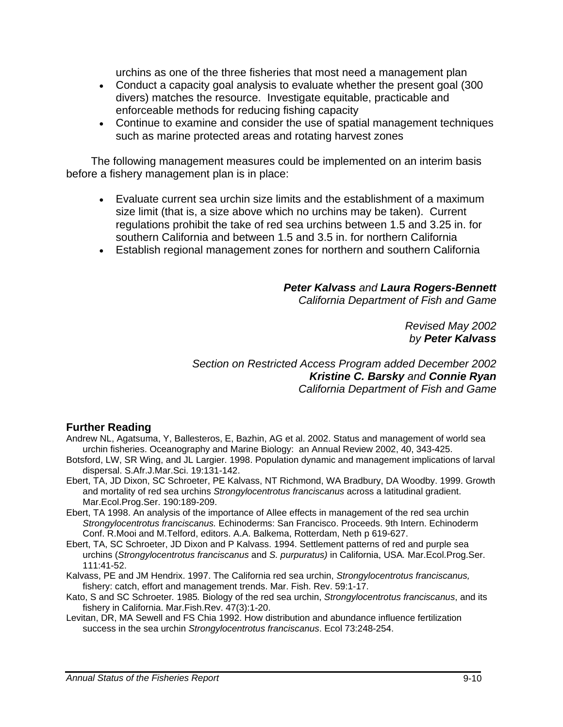urchins as one of the three fisheries that most need a management plan

- Conduct a capacity goal analysis to evaluate whether the present goal (300 divers) matches the resource. Investigate equitable, practicable and enforceable methods for reducing fishing capacity
- Continue to examine and consider the use of spatial management techniques such as marine protected areas and rotating harvest zones

 The following management measures could be implemented on an interim basis before a fishery management plan is in place:

- Evaluate current sea urchin size limits and the establishment of a maximum size limit (that is, a size above which no urchins may be taken). Current regulations prohibit the take of red sea urchins between 1.5 and 3.25 in. for southern California and between 1.5 and 3.5 in. for northern California
- Establish regional management zones for northern and southern California

*Peter Kalvass and Laura Rogers-Bennett California Department of Fish and Game* 

> *Revised May 2002 by Peter Kalvass*

*Section on Restricted Access Program added December 2002 Kristine C. Barsky and Connie Ryan California Department of Fish and Game* 

#### **Further Reading**

- Andrew NL, Agatsuma, Y, Ballesteros, E, Bazhin, AG et al. 2002. Status and management of world sea urchin fisheries. Oceanography and Marine Biology: an Annual Review 2002, 40, 343-425.
- Botsford, LW, SR Wing, and JL Largier. 1998. Population dynamic and management implications of larval dispersal. S.Afr.J.Mar.Sci. 19:131-142.
- Ebert, TA, JD Dixon, SC Schroeter, PE Kalvass, NT Richmond, WA Bradbury, DA Woodby. 1999. Growth and mortality of red sea urchins *Strongylocentrotus franciscanus* across a latitudinal gradient. Mar.Ecol.Prog.Ser. 190:189-209.
- Ebert, TA 1998. An analysis of the importance of Allee effects in management of the red sea urchin *Strongylocentrotus franciscanus.* Echinoderms: San Francisco. Proceeds. 9th Intern. Echinoderm Conf. R.Mooi and M.Telford, editors. A.A. Balkema, Rotterdam, Neth p 619-627.
- Ebert, TA, SC Schroeter, JD Dixon and P Kalvass. 1994. Settlement patterns of red and purple sea urchins (*Strongylocentrotus franciscanus* and *S. purpuratus)* in California, USA*.* Mar.Ecol.Prog.Ser. 111:41-52.
- Kalvass, PE and JM Hendrix. 1997. The California red sea urchin, *Strongylocentrotus franciscanus,*  fishery: catch, effort and management trends. Mar. Fish. Rev. 59:1-17.
- Kato, S and SC Schroeter*.* 1985*.* Biology of the red sea urchin, *Strongylocentrotus franciscanus*, and its fishery in California. Mar.Fish.Rev. 47(3):1-20.
- Levitan, DR, MA Sewell and FS Chia 1992. How distribution and abundance influence fertilization success in the sea urchin *Strongylocentrotus franciscanus*. Ecol 73:248-254.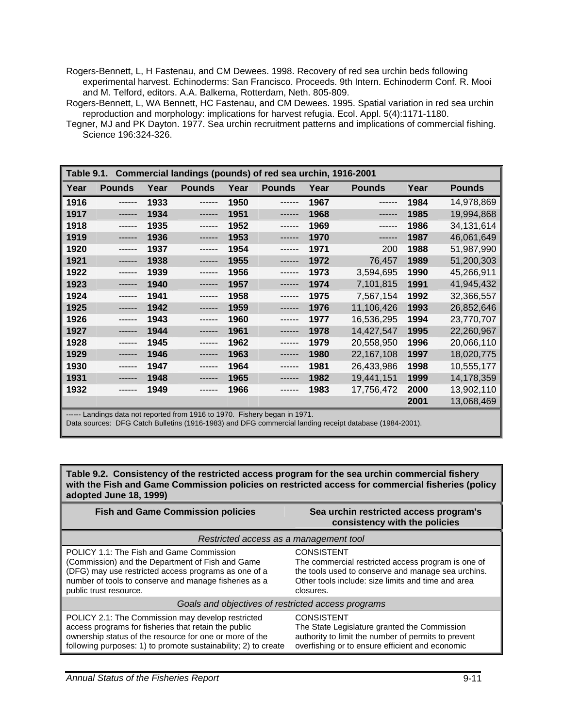Rogers-Bennett, L, H Fastenau, and CM Dewees. 1998. Recovery of red sea urchin beds following experimental harvest. Echinoderms: San Francisco. Proceeds. 9th Intern. Echinoderm Conf. R. Mooi and M. Telford, editors. A.A. Balkema, Rotterdam, Neth. 805-809.

Rogers-Bennett, L, WA Bennett, HC Fastenau, and CM Dewees. 1995. Spatial variation in red sea urchin reproduction and morphology: implications for harvest refugia. Ecol. Appl. 5(4):1171-1180.

Tegner, MJ and PK Dayton. 1977. Sea urchin recruitment patterns and implications of commercial fishing. Science 196:324-326.

| Commercial landings (pounds) of red sea urchin, 1916-2001<br>Table 9.1. |               |      |               |      |               |      |               |      |               |
|-------------------------------------------------------------------------|---------------|------|---------------|------|---------------|------|---------------|------|---------------|
| Year                                                                    | <b>Pounds</b> | Year | <b>Pounds</b> | Year | <b>Pounds</b> | Year | <b>Pounds</b> | Year | <b>Pounds</b> |
| 1916                                                                    | ------        | 1933 | ------        | 1950 |               | 1967 |               | 1984 | 14,978,869    |
| 1917                                                                    |               | 1934 |               | 1951 |               | 1968 |               | 1985 | 19,994,868    |
| 1918                                                                    |               | 1935 |               | 1952 | ------        | 1969 |               | 1986 | 34, 131, 614  |
| 1919                                                                    |               | 1936 | ------        | 1953 |               | 1970 | ------        | 1987 | 46,061,649    |
| 1920                                                                    |               | 1937 |               | 1954 |               | 1971 | 200           | 1988 | 51,987,990    |
| 1921                                                                    |               | 1938 |               | 1955 |               | 1972 | 76,457        | 1989 | 51,200,303    |
| 1922                                                                    |               | 1939 |               | 1956 |               | 1973 | 3,594,695     | 1990 | 45,266,911    |
| 1923                                                                    |               | 1940 | ------        | 1957 |               | 1974 | 7,101,815     | 1991 | 41,945,432    |
| 1924                                                                    |               | 1941 | ------        | 1958 | ------        | 1975 | 7,567,154     | 1992 | 32,366,557    |
| 1925                                                                    |               | 1942 | ------        | 1959 | ------        | 1976 | 11,106,426    | 1993 | 26,852,646    |
| 1926                                                                    |               | 1943 |               | 1960 |               | 1977 | 16,536,295    | 1994 | 23,770,707    |
| 1927                                                                    |               | 1944 |               | 1961 |               | 1978 | 14,427,547    | 1995 | 22,260,967    |
| 1928                                                                    |               | 1945 |               | 1962 |               | 1979 | 20,558,950    | 1996 | 20,066,110    |
| 1929                                                                    |               | 1946 | ------        | 1963 | ------        | 1980 | 22,167,108    | 1997 | 18,020,775    |
| 1930                                                                    |               | 1947 |               | 1964 |               | 1981 | 26,433,986    | 1998 | 10,555,177    |
| 1931                                                                    |               | 1948 |               | 1965 |               | 1982 | 19,441,151    | 1999 | 14,178,359    |
| 1932                                                                    |               | 1949 |               | 1966 |               | 1983 | 17,756,472    | 2000 | 13,902,110    |
|                                                                         |               |      |               |      |               |      |               | 2001 | 13,068,469    |

---- Landings data not reported from 1916 to 1970. Fishery began in 1971.

Data sources: DFG Catch Bulletins (1916-1983) and DFG commercial landing receipt database (1984-2001).

| <b>Fish and Game Commission policies</b>                                                                                                                                                                                                          | Sea urchin restricted access program's<br>consistency with the policies                                                                                                                          |  |  |  |
|---------------------------------------------------------------------------------------------------------------------------------------------------------------------------------------------------------------------------------------------------|--------------------------------------------------------------------------------------------------------------------------------------------------------------------------------------------------|--|--|--|
| Restricted access as a management tool                                                                                                                                                                                                            |                                                                                                                                                                                                  |  |  |  |
| DRICT 1.1: The Fish and Game Commission<br>Commission) and the Department of Fish and Game<br>$\parallel$ (DFG) may use restricted access programs as one of a<br>number of tools to conserve and manage fisheries as a<br>public trust resource. | <b>CONSISTENT</b><br>The commercial restricted access program is one of<br>the tools used to conserve and manage sea urchins.<br>Other tools include: size limits and time and area<br>closures. |  |  |  |
| Goals and objectives of restricted access programs                                                                                                                                                                                                |                                                                                                                                                                                                  |  |  |  |
| POLICY 2.1: The Commission may develop restricted<br>access programs for fisheries that retain the public<br>ownership status of the resource for one or more of the<br>following purposes: 1) to promote sustainability; 2) to create            | <b>CONSISTENT</b><br>The State Legislature granted the Commission<br>authority to limit the number of permits to prevent<br>overfishing or to ensure efficient and economic                      |  |  |  |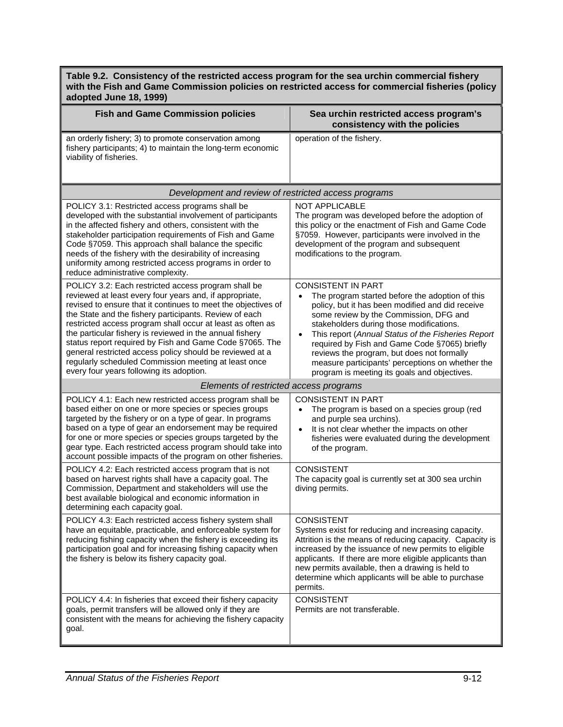| aaopica vano To, Toooj                                                                                                                                                                                                                                                                                                                                                                                                                                                                                                                                                                         |                                                                                                                                                                                                                                                                                                                                                                                                                                                                                                           |  |  |  |  |
|------------------------------------------------------------------------------------------------------------------------------------------------------------------------------------------------------------------------------------------------------------------------------------------------------------------------------------------------------------------------------------------------------------------------------------------------------------------------------------------------------------------------------------------------------------------------------------------------|-----------------------------------------------------------------------------------------------------------------------------------------------------------------------------------------------------------------------------------------------------------------------------------------------------------------------------------------------------------------------------------------------------------------------------------------------------------------------------------------------------------|--|--|--|--|
| <b>Fish and Game Commission policies</b>                                                                                                                                                                                                                                                                                                                                                                                                                                                                                                                                                       | Sea urchin restricted access program's<br>consistency with the policies                                                                                                                                                                                                                                                                                                                                                                                                                                   |  |  |  |  |
| an orderly fishery; 3) to promote conservation among<br>fishery participants; 4) to maintain the long-term economic<br>viability of fisheries.                                                                                                                                                                                                                                                                                                                                                                                                                                                 | operation of the fishery.                                                                                                                                                                                                                                                                                                                                                                                                                                                                                 |  |  |  |  |
| Development and review of restricted access programs                                                                                                                                                                                                                                                                                                                                                                                                                                                                                                                                           |                                                                                                                                                                                                                                                                                                                                                                                                                                                                                                           |  |  |  |  |
| POLICY 3.1: Restricted access programs shall be<br>developed with the substantial involvement of participants<br>in the affected fishery and others, consistent with the<br>stakeholder participation requirements of Fish and Game<br>Code §7059. This approach shall balance the specific<br>needs of the fishery with the desirability of increasing<br>uniformity among restricted access programs in order to<br>reduce administrative complexity.                                                                                                                                        | <b>NOT APPLICABLE</b><br>The program was developed before the adoption of<br>this policy or the enactment of Fish and Game Code<br>§7059. However, participants were involved in the<br>development of the program and subsequent<br>modifications to the program.                                                                                                                                                                                                                                        |  |  |  |  |
| POLICY 3.2: Each restricted access program shall be<br>reviewed at least every four years and, if appropriate,<br>revised to ensure that it continues to meet the objectives of<br>the State and the fishery participants. Review of each<br>restricted access program shall occur at least as often as<br>the particular fishery is reviewed in the annual fishery<br>status report required by Fish and Game Code §7065. The<br>general restricted access policy should be reviewed at a<br>regularly scheduled Commission meeting at least once<br>every four years following its adoption. | <b>CONSISTENT IN PART</b><br>The program started before the adoption of this<br>$\bullet$<br>policy, but it has been modified and did receive<br>some review by the Commission, DFG and<br>stakeholders during those modifications.<br>This report (Annual Status of the Fisheries Report<br>$\bullet$<br>required by Fish and Game Code §7065) briefly<br>reviews the program, but does not formally<br>measure participants' perceptions on whether the<br>program is meeting its goals and objectives. |  |  |  |  |
| Elements of restricted access programs                                                                                                                                                                                                                                                                                                                                                                                                                                                                                                                                                         |                                                                                                                                                                                                                                                                                                                                                                                                                                                                                                           |  |  |  |  |
| POLICY 4.1: Each new restricted access program shall be<br>based either on one or more species or species groups<br>targeted by the fishery or on a type of gear. In programs<br>based on a type of gear an endorsement may be required<br>for one or more species or species groups targeted by the<br>gear type. Each restricted access program should take into<br>account possible impacts of the program on other fisheries.                                                                                                                                                              | <b>CONSISTENT IN PART</b><br>The program is based on a species group (red<br>$\bullet$<br>and purple sea urchins).<br>It is not clear whether the impacts on other<br>$\bullet$<br>fisheries were evaluated during the development<br>of the program.                                                                                                                                                                                                                                                     |  |  |  |  |
| POLICY 4.2: Each restricted access program that is not<br>based on harvest rights shall have a capacity goal. The<br>Commission, Department and stakeholders will use the<br>best available biological and economic information in<br>determining each capacity goal.                                                                                                                                                                                                                                                                                                                          | <b>CONSISTENT</b><br>The capacity goal is currently set at 300 sea urchin<br>diving permits.                                                                                                                                                                                                                                                                                                                                                                                                              |  |  |  |  |
| POLICY 4.3: Each restricted access fishery system shall<br>have an equitable, practicable, and enforceable system for<br>reducing fishing capacity when the fishery is exceeding its<br>participation goal and for increasing fishing capacity when<br>the fishery is below its fishery capacity goal.                                                                                                                                                                                                                                                                                         | <b>CONSISTENT</b><br>Systems exist for reducing and increasing capacity.<br>Attrition is the means of reducing capacity. Capacity is<br>increased by the issuance of new permits to eligible<br>applicants. If there are more eligible applicants than<br>new permits available, then a drawing is held to<br>determine which applicants will be able to purchase<br>permits.                                                                                                                             |  |  |  |  |
| POLICY 4.4: In fisheries that exceed their fishery capacity<br>goals, permit transfers will be allowed only if they are<br>consistent with the means for achieving the fishery capacity<br>goal.                                                                                                                                                                                                                                                                                                                                                                                               | <b>CONSISTENT</b><br>Permits are not transferable.                                                                                                                                                                                                                                                                                                                                                                                                                                                        |  |  |  |  |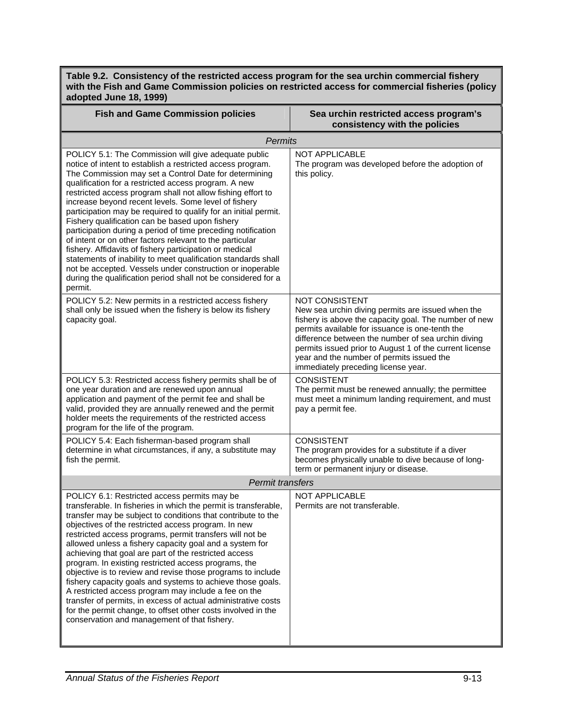| <b>Fish and Game Commission policies</b>                                                                                                                                                                                                                                                                                                                                                                                                                                                                                                                                                                                                                                                                                                                                                                                                                                          | Sea urchin restricted access program's<br>consistency with the policies                                                                                                                                                                                                                                                                                                              |  |  |  |  |
|-----------------------------------------------------------------------------------------------------------------------------------------------------------------------------------------------------------------------------------------------------------------------------------------------------------------------------------------------------------------------------------------------------------------------------------------------------------------------------------------------------------------------------------------------------------------------------------------------------------------------------------------------------------------------------------------------------------------------------------------------------------------------------------------------------------------------------------------------------------------------------------|--------------------------------------------------------------------------------------------------------------------------------------------------------------------------------------------------------------------------------------------------------------------------------------------------------------------------------------------------------------------------------------|--|--|--|--|
| <b>Permits</b>                                                                                                                                                                                                                                                                                                                                                                                                                                                                                                                                                                                                                                                                                                                                                                                                                                                                    |                                                                                                                                                                                                                                                                                                                                                                                      |  |  |  |  |
| POLICY 5.1: The Commission will give adequate public<br>notice of intent to establish a restricted access program.<br>The Commission may set a Control Date for determining<br>qualification for a restricted access program. A new<br>restricted access program shall not allow fishing effort to<br>increase beyond recent levels. Some level of fishery<br>participation may be required to qualify for an initial permit.<br>Fishery qualification can be based upon fishery<br>participation during a period of time preceding notification<br>of intent or on other factors relevant to the particular<br>fishery. Affidavits of fishery participation or medical<br>statements of inability to meet qualification standards shall<br>not be accepted. Vessels under construction or inoperable<br>during the qualification period shall not be considered for a<br>permit. | NOT APPLICABLE<br>The program was developed before the adoption of<br>this policy.                                                                                                                                                                                                                                                                                                   |  |  |  |  |
| POLICY 5.2: New permits in a restricted access fishery<br>shall only be issued when the fishery is below its fishery<br>capacity goal.                                                                                                                                                                                                                                                                                                                                                                                                                                                                                                                                                                                                                                                                                                                                            | NOT CONSISTENT<br>New sea urchin diving permits are issued when the<br>fishery is above the capacity goal. The number of new<br>permits available for issuance is one-tenth the<br>difference between the number of sea urchin diving<br>permits issued prior to August 1 of the current license<br>year and the number of permits issued the<br>immediately preceding license year. |  |  |  |  |
| POLICY 5.3: Restricted access fishery permits shall be of<br>one year duration and are renewed upon annual<br>application and payment of the permit fee and shall be<br>valid, provided they are annually renewed and the permit<br>holder meets the requirements of the restricted access<br>program for the life of the program.                                                                                                                                                                                                                                                                                                                                                                                                                                                                                                                                                | <b>CONSISTENT</b><br>The permit must be renewed annually; the permittee<br>must meet a minimum landing requirement, and must<br>pay a permit fee.                                                                                                                                                                                                                                    |  |  |  |  |
| POLICY 5.4: Each fisherman-based program shall<br>determine in what circumstances, if any, a substitute may<br>fish the permit.                                                                                                                                                                                                                                                                                                                                                                                                                                                                                                                                                                                                                                                                                                                                                   | <b>CONSISTENT</b><br>The program provides for a substitute if a diver<br>becomes physically unable to dive because of long-<br>term or permanent injury or disease.                                                                                                                                                                                                                  |  |  |  |  |
| <b>Permit transfers</b>                                                                                                                                                                                                                                                                                                                                                                                                                                                                                                                                                                                                                                                                                                                                                                                                                                                           |                                                                                                                                                                                                                                                                                                                                                                                      |  |  |  |  |
| POLICY 6.1: Restricted access permits may be<br>transferable. In fisheries in which the permit is transferable,<br>transfer may be subject to conditions that contribute to the<br>objectives of the restricted access program. In new<br>restricted access programs, permit transfers will not be<br>allowed unless a fishery capacity goal and a system for<br>achieving that goal are part of the restricted access<br>program. In existing restricted access programs, the<br>objective is to review and revise those programs to include<br>fishery capacity goals and systems to achieve those goals.<br>A restricted access program may include a fee on the<br>transfer of permits, in excess of actual administrative costs<br>for the permit change, to offset other costs involved in the<br>conservation and management of that fishery.                              | NOT APPLICABLE<br>Permits are not transferable.                                                                                                                                                                                                                                                                                                                                      |  |  |  |  |